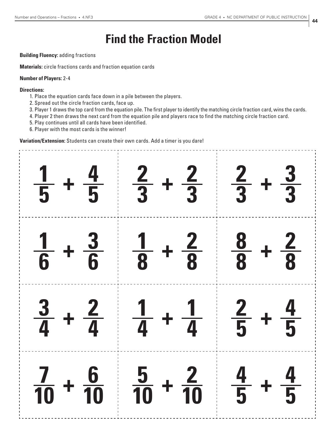## **Find the Fraction Model**

## **Building Fluency:** adding fractions

**Materials:** circle fractions cards and fraction equation cards

## **Number of Players:** 2-4

## **Directions:**

- 1. Place the equation cards face down in a pile between the players.
- 2. Spread out the circle fraction cards, face up.
- 3. Player 1 draws the top card from the equation pile. The first player to identify the matching circle fraction card, wins the cards.
- 4. Player 2 then draws the next card from the equation pile and players race to find the matching circle fraction card.
- 5. Play continues until all cards have been identified.
- 6. Player with the most cards is the winner!

**Variation/Extension:** Students can create their own cards. Add a timer is you dare!